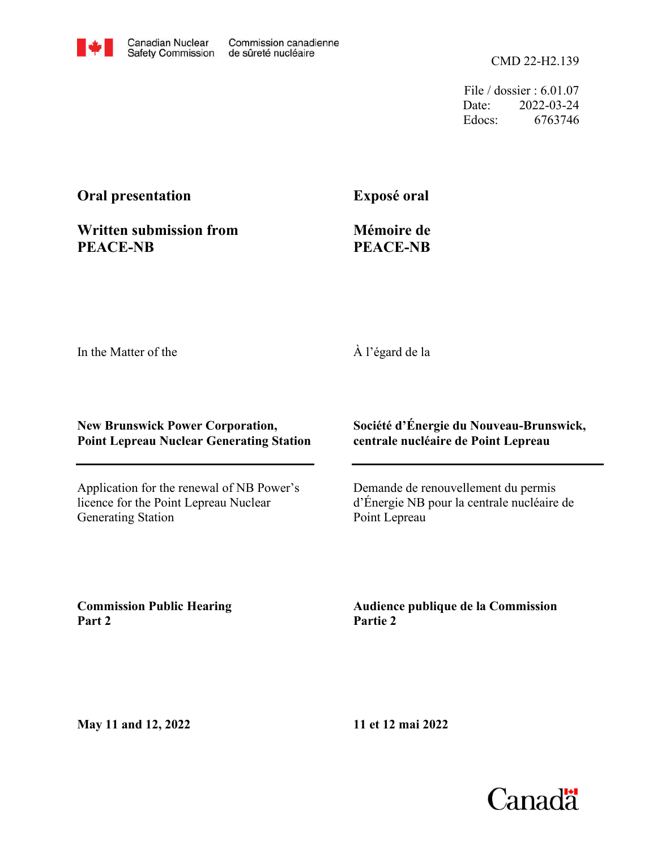

CMD 22-H2.139

File / dossier : 6.01.07 Date: 2022-03-24 Edocs: 6763746

# **Oral presentation**

**Exposé oral**

# **Written submission from PEACE-NB**

**Mémoire de PEACE-NB**

In the Matter of the

# À l'égard de la

#### **New Brunswick Power Corporation, Point Lepreau Nuclear Generating Station**

Application for the renewal of NB Power's licence for the Point Lepreau Nuclear Generating Station

# **Société d'Énergie du Nouveau-Brunswick, centrale nucléaire de Point Lepreau**

Demande de renouvellement du permis d'Énergie NB pour la centrale nucléaire de Point Lepreau

**Commission Public Hearing Part 2**

**Audience publique de la Commission Partie 2**

**May 11 and 12, 2022**

**11 et 12 mai 2022**

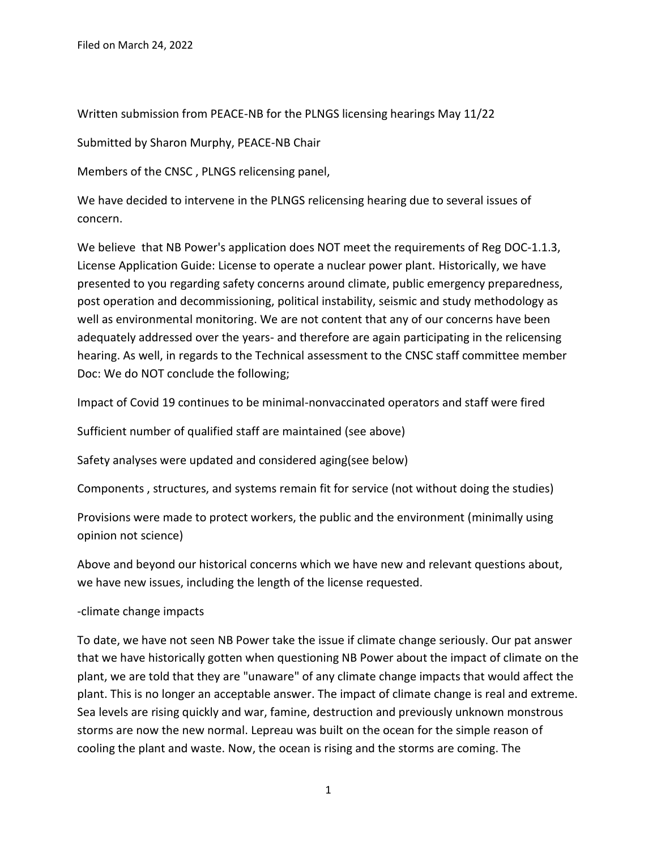Written submission from PEACE-NB for the PLNGS licensing hearings May 11/22

Submitted by Sharon Murphy, PEACE-NB Chair

Members of the CNSC , PLNGS relicensing panel,

We have decided to intervene in the PLNGS relicensing hearing due to several issues of concern.

We believe that NB Power's application does NOT meet the requirements of Reg DOC-1.1.3, License Application Guide: License to operate a nuclear power plant. Historically, we have presented to you regarding safety concerns around climate, public emergency preparedness, post operation and decommissioning, political instability, seismic and study methodology as well as environmental monitoring. We are not content that any of our concerns have been adequately addressed over the years- and therefore are again participating in the relicensing hearing. As well, in regards to the Technical assessment to the CNSC staff committee member Doc: We do NOT conclude the following;

Impact of Covid 19 continues to be minimal-nonvaccinated operators and staff were fired

Sufficient number of qualified staff are maintained (see above)

Safety analyses were updated and considered aging(see below)

Components , structures, and systems remain fit for service (not without doing the studies)

Provisions were made to protect workers, the public and the environment (minimally using opinion not science)

Above and beyond our historical concerns which we have new and relevant questions about, we have new issues, including the length of the license requested.

-climate change impacts

To date, we have not seen NB Power take the issue if climate change seriously. Our pat answer that we have historically gotten when questioning NB Power about the impact of climate on the plant, we are told that they are "unaware" of any climate change impacts that would affect the plant. This is no longer an acceptable answer. The impact of climate change is real and extreme. Sea levels are rising quickly and war, famine, destruction and previously unknown monstrous storms are now the new normal. Lepreau was built on the ocean for the simple reason of cooling the plant and waste. Now, the ocean is rising and the storms are coming. The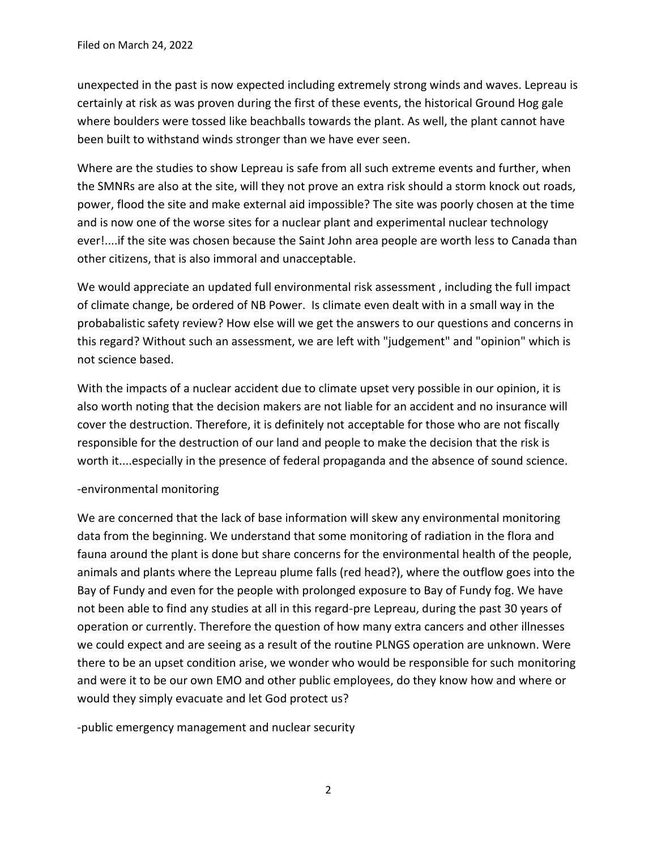unexpected in the past is now expected including extremely strong winds and waves. Lepreau is certainly at risk as was proven during the first of these events, the historical Ground Hog gale where boulders were tossed like beachballs towards the plant. As well, the plant cannot have been built to withstand winds stronger than we have ever seen.

Where are the studies to show Lepreau is safe from all such extreme events and further, when the SMNRs are also at the site, will they not prove an extra risk should a storm knock out roads, power, flood the site and make external aid impossible? The site was poorly chosen at the time and is now one of the worse sites for a nuclear plant and experimental nuclear technology ever!....if the site was chosen because the Saint John area people are worth less to Canada than other citizens, that is also immoral and unacceptable.

We would appreciate an updated full environmental risk assessment , including the full impact of climate change, be ordered of NB Power. Is climate even dealt with in a small way in the probabalistic safety review? How else will we get the answers to our questions and concerns in this regard? Without such an assessment, we are left with "judgement" and "opinion" which is not science based.

With the impacts of a nuclear accident due to climate upset very possible in our opinion, it is also worth noting that the decision makers are not liable for an accident and no insurance will cover the destruction. Therefore, it is definitely not acceptable for those who are not fiscally responsible for the destruction of our land and people to make the decision that the risk is worth it....especially in the presence of federal propaganda and the absence of sound science.

## -environmental monitoring

We are concerned that the lack of base information will skew any environmental monitoring data from the beginning. We understand that some monitoring of radiation in the flora and fauna around the plant is done but share concerns for the environmental health of the people, animals and plants where the Lepreau plume falls (red head?), where the outflow goes into the Bay of Fundy and even for the people with prolonged exposure to Bay of Fundy fog. We have not been able to find any studies at all in this regard-pre Lepreau, during the past 30 years of operation or currently. Therefore the question of how many extra cancers and other illnesses we could expect and are seeing as a result of the routine PLNGS operation are unknown. Were there to be an upset condition arise, we wonder who would be responsible for such monitoring and were it to be our own EMO and other public employees, do they know how and where or would they simply evacuate and let God protect us?

-public emergency management and nuclear security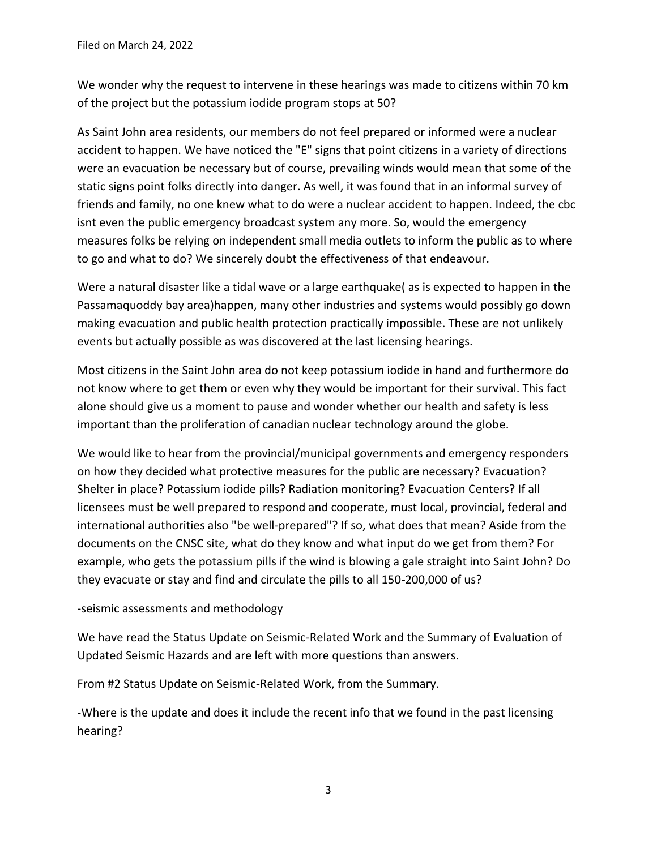We wonder why the request to intervene in these hearings was made to citizens within 70 km of the project but the potassium iodide program stops at 50?

As Saint John area residents, our members do not feel prepared or informed were a nuclear accident to happen. We have noticed the "E" signs that point citizens in a variety of directions were an evacuation be necessary but of course, prevailing winds would mean that some of the static signs point folks directly into danger. As well, it was found that in an informal survey of friends and family, no one knew what to do were a nuclear accident to happen. Indeed, the cbc isnt even the public emergency broadcast system any more. So, would the emergency measures folks be relying on independent small media outlets to inform the public as to where to go and what to do? We sincerely doubt the effectiveness of that endeavour.

Were a natural disaster like a tidal wave or a large earthquake( as is expected to happen in the Passamaquoddy bay area)happen, many other industries and systems would possibly go down making evacuation and public health protection practically impossible. These are not unlikely events but actually possible as was discovered at the last licensing hearings.

Most citizens in the Saint John area do not keep potassium iodide in hand and furthermore do not know where to get them or even why they would be important for their survival. This fact alone should give us a moment to pause and wonder whether our health and safety is less important than the proliferation of canadian nuclear technology around the globe.

We would like to hear from the provincial/municipal governments and emergency responders on how they decided what protective measures for the public are necessary? Evacuation? Shelter in place? Potassium iodide pills? Radiation monitoring? Evacuation Centers? If all licensees must be well prepared to respond and cooperate, must local, provincial, federal and international authorities also "be well-prepared"? If so, what does that mean? Aside from the documents on the CNSC site, what do they know and what input do we get from them? For example, who gets the potassium pills if the wind is blowing a gale straight into Saint John? Do they evacuate or stay and find and circulate the pills to all 150-200,000 of us?

#### -seismic assessments and methodology

We have read the Status Update on Seismic-Related Work and the Summary of Evaluation of Updated Seismic Hazards and are left with more questions than answers.

From #2 Status Update on Seismic-Related Work, from the Summary.

-Where is the update and does it include the recent info that we found in the past licensing hearing?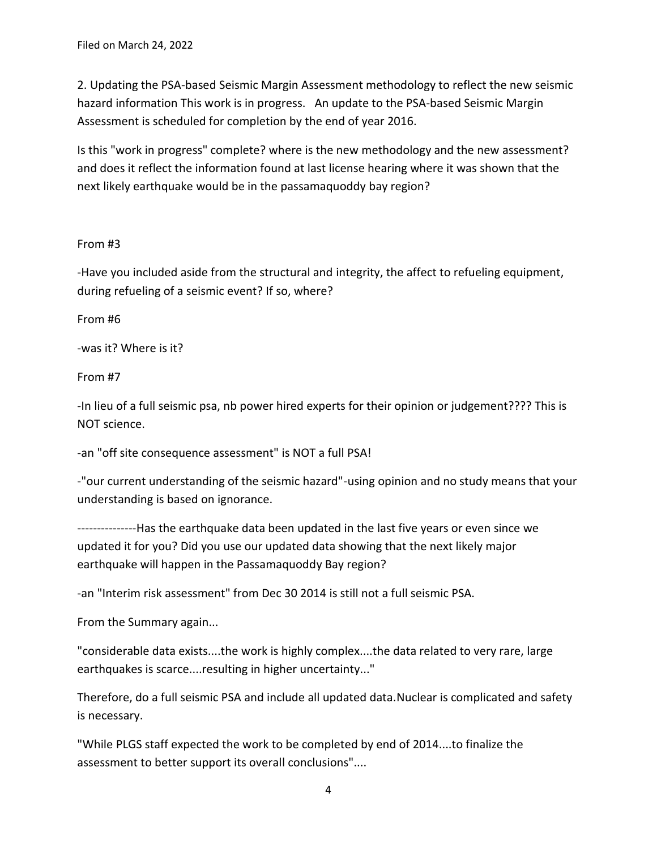2. Updating the PSA‐based Seismic Margin Assessment methodology to reflect the new seismic hazard information This work is in progress. An update to the PSA‐based Seismic Margin Assessment is scheduled for completion by the end of year 2016.

Is this "work in progress" complete? where is the new methodology and the new assessment? and does it reflect the information found at last license hearing where it was shown that the next likely earthquake would be in the passamaquoddy bay region?

## From #3

-Have you included aside from the structural and integrity, the affect to refueling equipment, during refueling of a seismic event? If so, where?

From #6

-was it? Where is it?

From #7

-In lieu of a full seismic psa, nb power hired experts for their opinion or judgement???? This is NOT science.

-an "off site consequence assessment" is NOT a full PSA!

-"our current understanding of the seismic hazard"-using opinion and no study means that your understanding is based on ignorance.

---------------Has the earthquake data been updated in the last five years or even since we updated it for you? Did you use our updated data showing that the next likely major earthquake will happen in the Passamaquoddy Bay region?

-an "Interim risk assessment" from Dec 30 2014 is still not a full seismic PSA.

From the Summary again...

"considerable data exists....the work is highly complex....the data related to very rare, large earthquakes is scarce....resulting in higher uncertainty..."

Therefore, do a full seismic PSA and include all updated data.Nuclear is complicated and safety is necessary.

"While PLGS staff expected the work to be completed by end of 2014....to finalize the assessment to better support its overall conclusions"....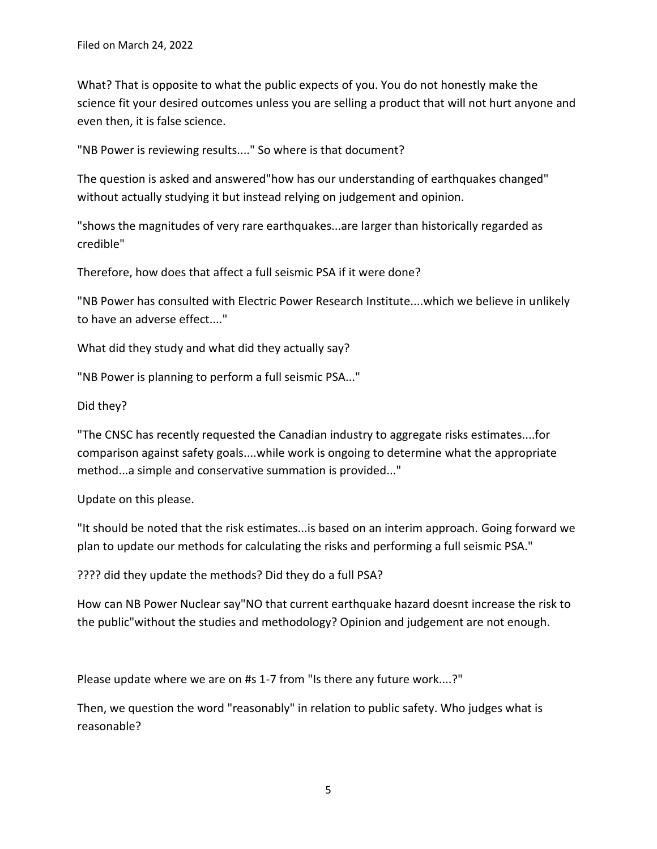What? That is opposite to what the public expects of you. You do not honestly make the science fit your desired outcomes unless you are selling a product that will not hurt anyone and even then, it is false science.

"NB Power is reviewing results...." So where is that document?

The question is asked and answered"how has our understanding of earthquakes changed" without actually studying it but instead relying on judgement and opinion.

"shows the magnitudes of very rare earthquakes...are larger than historically regarded as credible"

Therefore, how does that affect a full seismic PSA if it were done?

"NB Power has consulted with Electric Power Research Institute....which we believe in unlikely to have an adverse effect...."

What did they study and what did they actually say?

"NB Power is planning to perform a full seismic PSA..."

Did they?

"The CNSC has recently requested the Canadian industry to aggregate risks estimates....for comparison against safety goals....while work is ongoing to determine what the appropriate method...a simple and conservative summation is provided..."

Update on this please.

"It should be noted that the risk estimates...is based on an interim approach. Going forward we plan to update our methods for calculating the risks and performing a full seismic PSA."

???? did they update the methods? Did they do a full PSA?

How can NB Power Nuclear say"NO that current earthquake hazard doesnt increase the risk to the public"without the studies and methodology? Opinion and judgement are not enough.

Please update where we are on #s 1-7 from "Is there any future work....?"

Then, we question the word "reasonably" in relation to public safety. Who judges what is reasonable?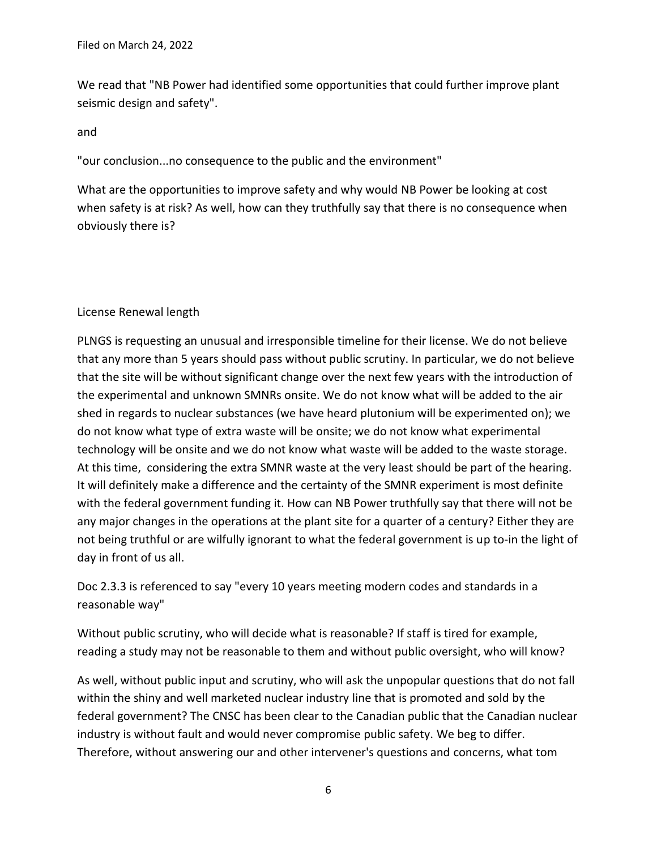We read that "NB Power had identified some opportunities that could further improve plant seismic design and safety".

and

"our conclusion...no consequence to the public and the environment"

What are the opportunities to improve safety and why would NB Power be looking at cost when safety is at risk? As well, how can they truthfully say that there is no consequence when obviously there is?

## License Renewal length

PLNGS is requesting an unusual and irresponsible timeline for their license. We do not believe that any more than 5 years should pass without public scrutiny. In particular, we do not believe that the site will be without significant change over the next few years with the introduction of the experimental and unknown SMNRs onsite. We do not know what will be added to the air shed in regards to nuclear substances (we have heard plutonium will be experimented on); we do not know what type of extra waste will be onsite; we do not know what experimental technology will be onsite and we do not know what waste will be added to the waste storage. At this time, considering the extra SMNR waste at the very least should be part of the hearing. It will definitely make a difference and the certainty of the SMNR experiment is most definite with the federal government funding it. How can NB Power truthfully say that there will not be any major changes in the operations at the plant site for a quarter of a century? Either they are not being truthful or are wilfully ignorant to what the federal government is up to-in the light of day in front of us all.

Doc 2.3.3 is referenced to say "every 10 years meeting modern codes and standards in a reasonable way"

Without public scrutiny, who will decide what is reasonable? If staff is tired for example, reading a study may not be reasonable to them and without public oversight, who will know?

As well, without public input and scrutiny, who will ask the unpopular questions that do not fall within the shiny and well marketed nuclear industry line that is promoted and sold by the federal government? The CNSC has been clear to the Canadian public that the Canadian nuclear industry is without fault and would never compromise public safety. We beg to differ. Therefore, without answering our and other intervener's questions and concerns, what tom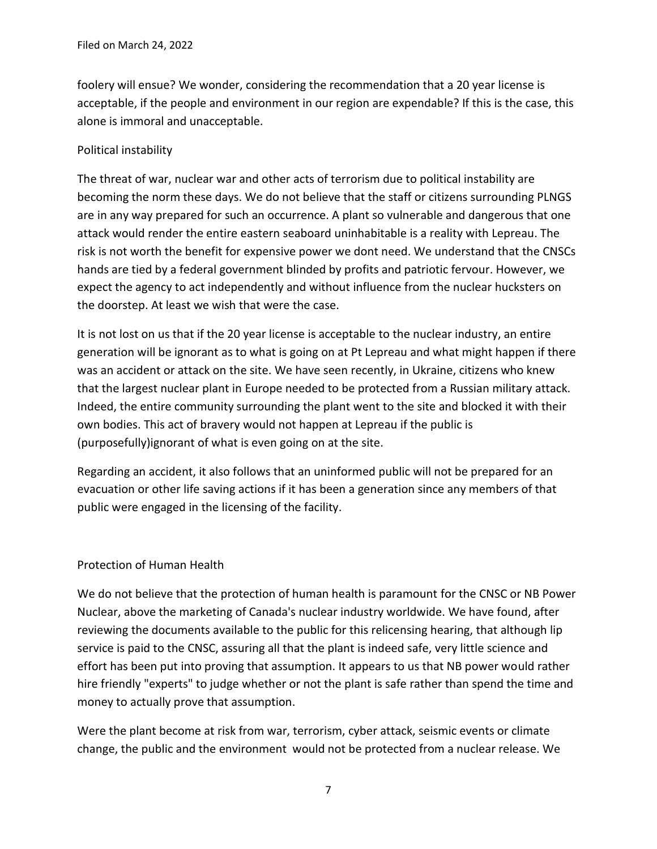foolery will ensue? We wonder, considering the recommendation that a 20 year license is acceptable, if the people and environment in our region are expendable? If this is the case, this alone is immoral and unacceptable.

## Political instability

The threat of war, nuclear war and other acts of terrorism due to political instability are becoming the norm these days. We do not believe that the staff or citizens surrounding PLNGS are in any way prepared for such an occurrence. A plant so vulnerable and dangerous that one attack would render the entire eastern seaboard uninhabitable is a reality with Lepreau. The risk is not worth the benefit for expensive power we dont need. We understand that the CNSCs hands are tied by a federal government blinded by profits and patriotic fervour. However, we expect the agency to act independently and without influence from the nuclear hucksters on the doorstep. At least we wish that were the case.

It is not lost on us that if the 20 year license is acceptable to the nuclear industry, an entire generation will be ignorant as to what is going on at Pt Lepreau and what might happen if there was an accident or attack on the site. We have seen recently, in Ukraine, citizens who knew that the largest nuclear plant in Europe needed to be protected from a Russian military attack. Indeed, the entire community surrounding the plant went to the site and blocked it with their own bodies. This act of bravery would not happen at Lepreau if the public is (purposefully)ignorant of what is even going on at the site.

Regarding an accident, it also follows that an uninformed public will not be prepared for an evacuation or other life saving actions if it has been a generation since any members of that public were engaged in the licensing of the facility.

#### Protection of Human Health

We do not believe that the protection of human health is paramount for the CNSC or NB Power Nuclear, above the marketing of Canada's nuclear industry worldwide. We have found, after reviewing the documents available to the public for this relicensing hearing, that although lip service is paid to the CNSC, assuring all that the plant is indeed safe, very little science and effort has been put into proving that assumption. It appears to us that NB power would rather hire friendly "experts" to judge whether or not the plant is safe rather than spend the time and money to actually prove that assumption.

Were the plant become at risk from war, terrorism, cyber attack, seismic events or climate change, the public and the environment would not be protected from a nuclear release. We